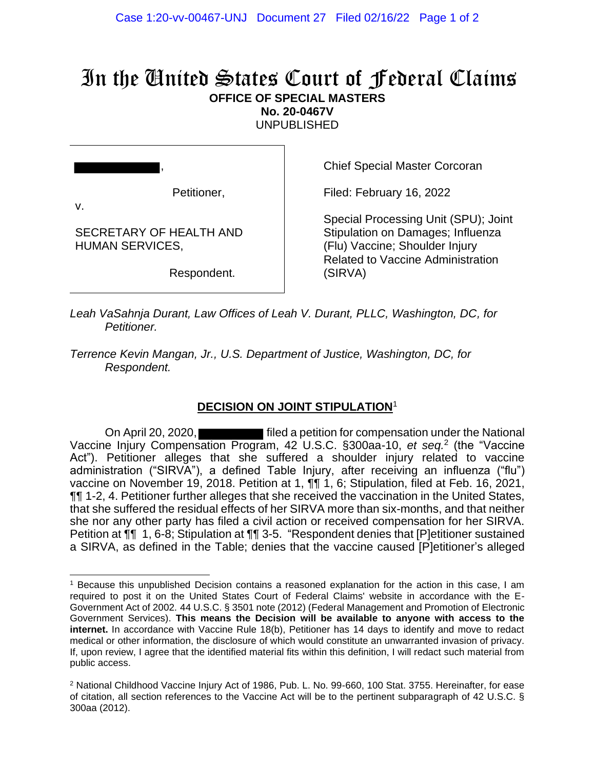## In the United States Court of Federal Claims **OFFICE OF SPECIAL MASTERS No. 20-0467V**

UNPUBLISHED

, Petitioner,

SECRETARY OF HEALTH AND HUMAN SERVICES,

v.

Respondent.

Chief Special Master Corcoran

Filed: February 16, 2022

Special Processing Unit (SPU); Joint Stipulation on Damages; Influenza (Flu) Vaccine; Shoulder Injury Related to Vaccine Administration (SIRVA)

*Leah VaSahnja Durant, Law Offices of Leah V. Durant, PLLC, Washington, DC, for Petitioner.*

*Terrence Kevin Mangan, Jr., U.S. Department of Justice, Washington, DC, for Respondent.*

## **DECISION ON JOINT STIPULATION**<sup>1</sup>

On April 20, 2020, **Filted a petition for compensation under the National** Vaccine Injury Compensation Program, 42 U.S.C. §300aa-10, et seq.<sup>2</sup> (the "Vaccine Act"). Petitioner alleges that she suffered a shoulder injury related to vaccine administration ("SIRVA"), a defined Table Injury, after receiving an influenza ("flu") vaccine on November 19, 2018. Petition at 1, ¶¶ 1, 6; Stipulation, filed at Feb. 16, 2021, **TI** 1-2, 4. Petitioner further alleges that she received the vaccination in the United States, that she suffered the residual effects of her SIRVA more than six-months, and that neither she nor any other party has filed a civil action or received compensation for her SIRVA. Petition at ¶¶ 1, 6-8; Stipulation at ¶¶ 3-5. "Respondent denies that [P]etitioner sustained a SIRVA, as defined in the Table; denies that the vaccine caused [P]etitioner's alleged

<sup>1</sup> Because this unpublished Decision contains a reasoned explanation for the action in this case, I am required to post it on the United States Court of Federal Claims' website in accordance with the E-Government Act of 2002. 44 U.S.C. § 3501 note (2012) (Federal Management and Promotion of Electronic Government Services). **This means the Decision will be available to anyone with access to the internet.** In accordance with Vaccine Rule 18(b), Petitioner has 14 days to identify and move to redact medical or other information, the disclosure of which would constitute an unwarranted invasion of privacy. If, upon review, I agree that the identified material fits within this definition, I will redact such material from public access.

<sup>2</sup> National Childhood Vaccine Injury Act of 1986, Pub. L. No. 99-660, 100 Stat. 3755. Hereinafter, for ease of citation, all section references to the Vaccine Act will be to the pertinent subparagraph of 42 U.S.C. § 300aa (2012).